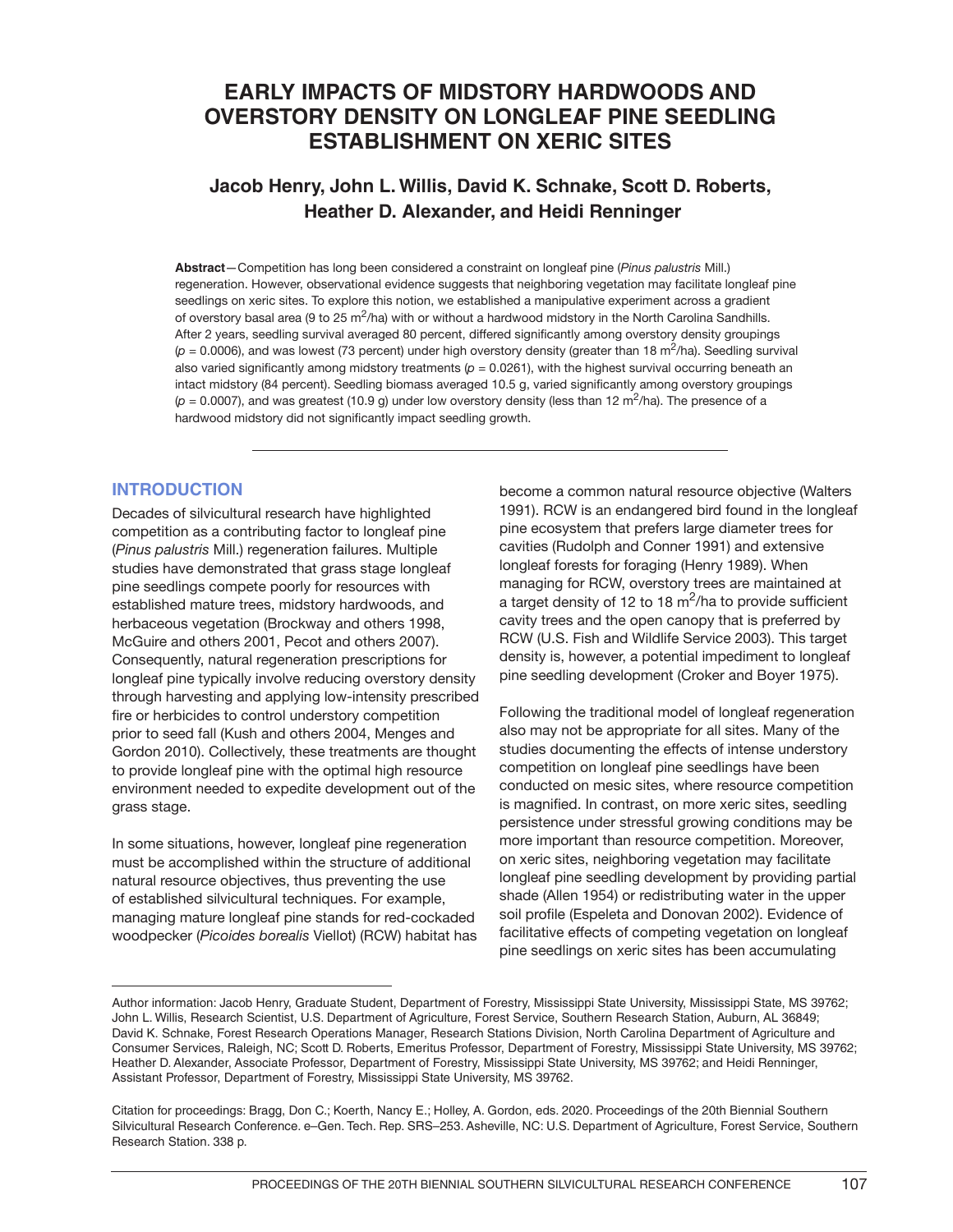# **EARLY IMPACTS OF MIDSTORY HARDWOODS AND OVERSTORY DENSITY ON LONGLEAF PINE SEEDLING ESTABLISHMENT ON XERIC SITES**

# **Jacob Henry, John L. Willis, David K. Schnake, Scott D. Roberts, Heather D. Alexander, and Heidi Renninger**

**Abstract**—Competition has long been considered a constraint on longleaf pine (*Pinus palustris* Mill.) regeneration. However, observational evidence suggests that neighboring vegetation may facilitate longleaf pine seedlings on xeric sites. To explore this notion, we established a manipulative experiment across a gradient of overstory basal area (9 to 25 m<sup>2</sup>/ha) with or without a hardwood midstory in the North Carolina Sandhills. After 2 years, seedling survival averaged 80 percent, differed significantly among overstory density groupings  $(p = 0.0006)$ , and was lowest (73 percent) under high overstory density (greater than 18 m<sup>2</sup>/ha). Seedling survival also varied significantly among midstory treatments ( $p = 0.0261$ ), with the highest survival occurring beneath an intact midstory (84 percent). Seedling biomass averaged 10.5 g, varied significantly among overstory groupings  $(p = 0.0007)$ , and was greatest (10.9 g) under low overstory density (less than 12 m<sup>2</sup>/ha). The presence of a hardwood midstory did not significantly impact seedling growth.

# **INTRODUCTION**

Decades of silvicultural research have highlighted competition as a contributing factor to longleaf pine (*Pinus palustris* Mill.) regeneration failures. Multiple studies have demonstrated that grass stage longleaf pine seedlings compete poorly for resources with established mature trees, midstory hardwoods, and herbaceous vegetation (Brockway and others 1998, McGuire and others 2001, Pecot and others 2007). Consequently, natural regeneration prescriptions for longleaf pine typically involve reducing overstory density through harvesting and applying low-intensity prescribed fire or herbicides to control understory competition prior to seed fall (Kush and others 2004, Menges and Gordon 2010). Collectively, these treatments are thought to provide longleaf pine with the optimal high resource environment needed to expedite development out of the grass stage.

In some situations, however, longleaf pine regeneration must be accomplished within the structure of additional natural resource objectives, thus preventing the use of established silvicultural techniques. For example, managing mature longleaf pine stands for red-cockaded woodpecker (*Picoides borealis* Viellot) (RCW) habitat has become a common natural resource objective (Walters 1991). RCW is an endangered bird found in the longleaf pine ecosystem that prefers large diameter trees for cavities (Rudolph and Conner 1991) and extensive longleaf forests for foraging (Henry 1989). When managing for RCW, overstory trees are maintained at a target density of 12 to 18  $\text{m}^2/\text{ha}$  to provide sufficient cavity trees and the open canopy that is preferred by RCW (U.S. Fish and Wildlife Service 2003). This target density is, however, a potential impediment to longleaf pine seedling development (Croker and Boyer 1975).

Following the traditional model of longleaf regeneration also may not be appropriate for all sites. Many of the studies documenting the effects of intense understory competition on longleaf pine seedlings have been conducted on mesic sites, where resource competition is magnified. In contrast, on more xeric sites, seedling persistence under stressful growing conditions may be more important than resource competition. Moreover, on xeric sites, neighboring vegetation may facilitate longleaf pine seedling development by providing partial shade (Allen 1954) or redistributing water in the upper soil profile (Espeleta and Donovan 2002). Evidence of facilitative effects of competing vegetation on longleaf pine seedlings on xeric sites has been accumulating

Author information: Jacob Henry, Graduate Student, Department of Forestry, Mississippi State University, Mississippi State, MS 39762; John L. Willis, Research Scientist, U.S. Department of Agriculture, Forest Service, Southern Research Station, Auburn, AL 36849; David K. Schnake, Forest Research Operations Manager, Research Stations Division, North Carolina Department of Agriculture and Consumer Services, Raleigh, NC; Scott D. Roberts, Emeritus Professor, Department of Forestry, Mississippi State University, MS 39762; Heather D. Alexander, Associate Professor, Department of Forestry, Mississippi State University, MS 39762; and Heidi Renninger, Assistant Professor, Department of Forestry, Mississippi State University, MS 39762.

Citation for proceedings: Bragg, Don C.; Koerth, Nancy E.; Holley, A. Gordon, eds. 2020. Proceedings of the 20th Biennial Southern Silvicultural Research Conference. e–Gen. Tech. Rep. SRS–253. Asheville, NC: U.S. Department of Agriculture, Forest Service, Southern Research Station. 338 p.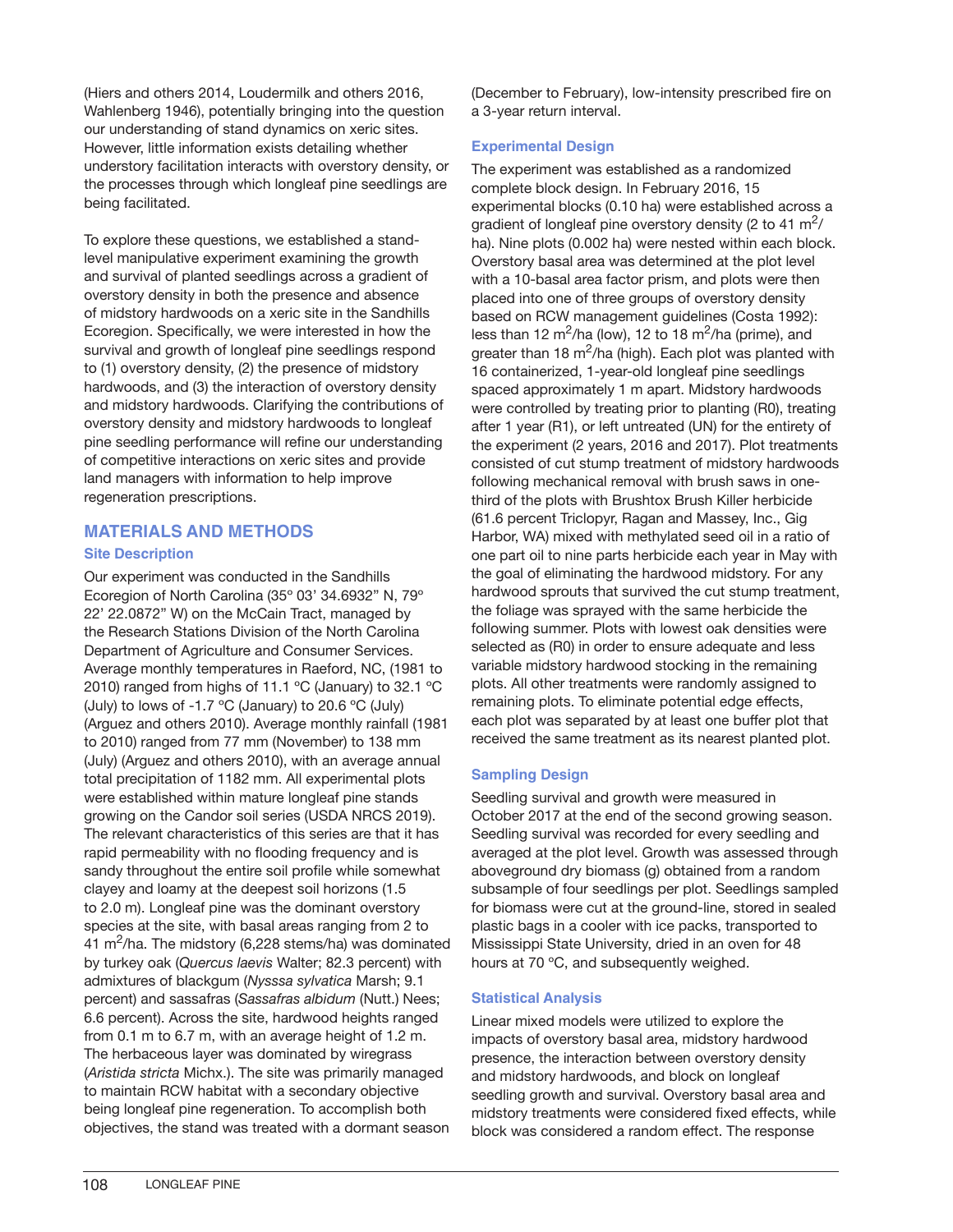(Hiers and others 2014, Loudermilk and others 2016, Wahlenberg 1946), potentially bringing into the question our understanding of stand dynamics on xeric sites. However, little information exists detailing whether understory facilitation interacts with overstory density, or the processes through which longleaf pine seedlings are being facilitated.

To explore these questions, we established a standlevel manipulative experiment examining the growth and survival of planted seedlings across a gradient of overstory density in both the presence and absence of midstory hardwoods on a xeric site in the Sandhills Ecoregion. Specifically, we were interested in how the survival and growth of longleaf pine seedlings respond to (1) overstory density, (2) the presence of midstory hardwoods, and (3) the interaction of overstory density and midstory hardwoods. Clarifying the contributions of overstory density and midstory hardwoods to longleaf pine seedling performance will refine our understanding of competitive interactions on xeric sites and provide land managers with information to help improve regeneration prescriptions.

# **MATERIALS AND METHODS**

## **Site Description**

Our experiment was conducted in the Sandhills Ecoregion of North Carolina (35º 03' 34.6932" N, 79º 22' 22.0872" W) on the McCain Tract, managed by the Research Stations Division of the North Carolina Department of Agriculture and Consumer Services. Average monthly temperatures in Raeford, NC, (1981 to 2010) ranged from highs of 11.1 ºC (January) to 32.1 ºC (July) to lows of -1.7  $\rm{^{\circ}C}$  (January) to 20.6  $\rm{^{\circ}C}$  (July) (Arguez and others 2010). Average monthly rainfall (1981 to 2010) ranged from 77 mm (November) to 138 mm (July) (Arguez and others 2010), with an average annual total precipitation of 1182 mm. All experimental plots were established within mature longleaf pine stands growing on the Candor soil series (USDA NRCS 2019). The relevant characteristics of this series are that it has rapid permeability with no flooding frequency and is sandy throughout the entire soil profile while somewhat clayey and loamy at the deepest soil horizons (1.5 to 2.0 m). Longleaf pine was the dominant overstory species at the site, with basal areas ranging from 2 to 41 m<sup>2</sup>/ha. The midstory (6,228 stems/ha) was dominated by turkey oak (*Quercus laevis* Walter; 82.3 percent) with admixtures of blackgum (*Nysssa sylvatica* Marsh; 9.1 percent) and sassafras (*Sassafras albidum* (Nutt.) Nees; 6.6 percent). Across the site, hardwood heights ranged from 0.1 m to 6.7 m, with an average height of 1.2 m. The herbaceous layer was dominated by wiregrass (*Aristida stricta* Michx.). The site was primarily managed to maintain RCW habitat with a secondary objective being longleaf pine regeneration. To accomplish both objectives, the stand was treated with a dormant season

(December to February), low-intensity prescribed fire on a 3-year return interval.

## **Experimental Design**

The experiment was established as a randomized complete block design. In February 2016, 15 experimental blocks (0.10 ha) were established across a gradient of longleaf pine overstory density (2 to 41  $\mathrm{m}^2$ / ha). Nine plots (0.002 ha) were nested within each block. Overstory basal area was determined at the plot level with a 10-basal area factor prism, and plots were then placed into one of three groups of overstory density based on RCW management guidelines (Costa 1992): less than 12 m<sup>2</sup>/ha (low), 12 to 18 m<sup>2</sup>/ha (prime), and greater than 18  $m^2/ha$  (high). Each plot was planted with 16 containerized, 1-year-old longleaf pine seedlings spaced approximately 1 m apart. Midstory hardwoods were controlled by treating prior to planting (R0), treating after 1 year (R1), or left untreated (UN) for the entirety of the experiment (2 years, 2016 and 2017). Plot treatments consisted of cut stump treatment of midstory hardwoods following mechanical removal with brush saws in onethird of the plots with Brushtox Brush Killer herbicide (61.6 percent Triclopyr, Ragan and Massey, Inc., Gig Harbor, WA) mixed with methylated seed oil in a ratio of one part oil to nine parts herbicide each year in May with the goal of eliminating the hardwood midstory. For any hardwood sprouts that survived the cut stump treatment, the foliage was sprayed with the same herbicide the following summer. Plots with lowest oak densities were selected as (R0) in order to ensure adequate and less variable midstory hardwood stocking in the remaining plots. All other treatments were randomly assigned to remaining plots. To eliminate potential edge effects, each plot was separated by at least one buffer plot that received the same treatment as its nearest planted plot.

# **Sampling Design**

Seedling survival and growth were measured in October 2017 at the end of the second growing season. Seedling survival was recorded for every seedling and averaged at the plot level. Growth was assessed through aboveground dry biomass (g) obtained from a random subsample of four seedlings per plot. Seedlings sampled for biomass were cut at the ground-line, stored in sealed plastic bags in a cooler with ice packs, transported to Mississippi State University, dried in an oven for 48 hours at 70 ºC, and subsequently weighed.

# **Statistical Analysis**

Linear mixed models were utilized to explore the impacts of overstory basal area, midstory hardwood presence, the interaction between overstory density and midstory hardwoods, and block on longleaf seedling growth and survival. Overstory basal area and midstory treatments were considered fixed effects, while block was considered a random effect. The response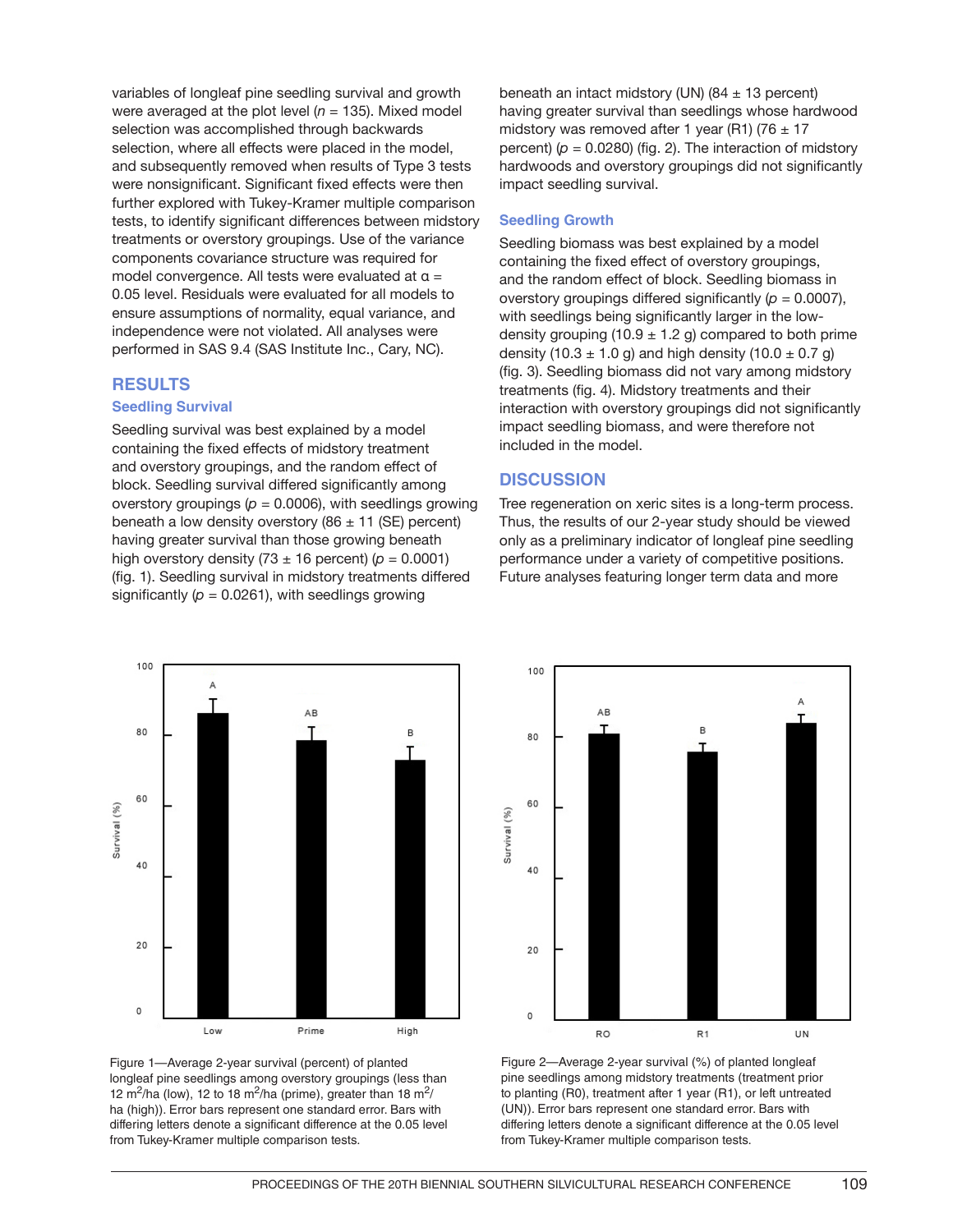variables of longleaf pine seedling survival and growth were averaged at the plot level  $(n = 135)$ . Mixed model selection was accomplished through backwards selection, where all effects were placed in the model, and subsequently removed when results of Type 3 tests were nonsignificant. Significant fixed effects were then further explored with Tukey-Kramer multiple comparison tests, to identify significant differences between midstory treatments or overstory groupings. Use of the variance components covariance structure was required for model convergence. All tests were evaluated at  $\alpha =$ 0.05 level. Residuals were evaluated for all models to ensure assumptions of normality, equal variance, and independence were not violated. All analyses were performed in SAS 9.4 (SAS Institute Inc., Cary, NC).

### **RESULTS**

#### **Seedling Survival**

Seedling survival was best explained by a model containing the fixed effects of midstory treatment and overstory groupings, and the random effect of block. Seedling survival differed significantly among overstory groupings ( $p = 0.0006$ ), with seedlings growing beneath a low density overstory (86  $\pm$  11 (SE) percent) having greater survival than those growing beneath high overstory density  $(73 \pm 16$  percent)  $(p = 0.0001)$ (fig. 1). Seedling survival in midstory treatments differed significantly  $(p = 0.0261)$ , with seedlings growing

having greater survival than seedlings whose hardwood midstory was removed after 1 year (R1) (76  $\pm$  17 percent)  $(p = 0.0280)$  (fig. 2). The interaction of midstory hardwoods and overstory groupings did not significantly impact seedling survival.

beneath an intact midstory (UN)  $(84 \pm 13 \text{ percent})$ 

### **Seedling Growth**

Seedling biomass was best explained by a model containing the fixed effect of overstory groupings, and the random effect of block. Seedling biomass in overstory groupings differed significantly  $(p = 0.0007)$ , with seedlings being significantly larger in the lowdensity grouping (10.9  $\pm$  1.2 g) compared to both prime density (10.3  $\pm$  1.0 g) and high density (10.0  $\pm$  0.7 g) (fig. 3). Seedling biomass did not vary among midstory treatments (fig. 4). Midstory treatments and their interaction with overstory groupings did not significantly impact seedling biomass, and were therefore not included in the model.

## **DISCUSSION**

100

80

Tree regeneration on xeric sites is a long-term process. Thus, the results of our 2-year study should be viewed only as a preliminary indicator of longleaf pine seedling performance under a variety of competitive positions. Future analyses featuring longer term data and more

B





AB

Figure 1—Average 2-year survival (percent) of planted longleaf pine seedlings among overstory groupings (less than 12 m<sup>2</sup>/ha (low), 12 to 18 m<sup>2</sup>/ha (prime), greater than 18 m<sup>2</sup>/ ha (high)). Error bars represent one standard error. Bars with differing letters denote a significant difference at the 0.05 level from Tukey-Kramer multiple comparison tests.



**TIN**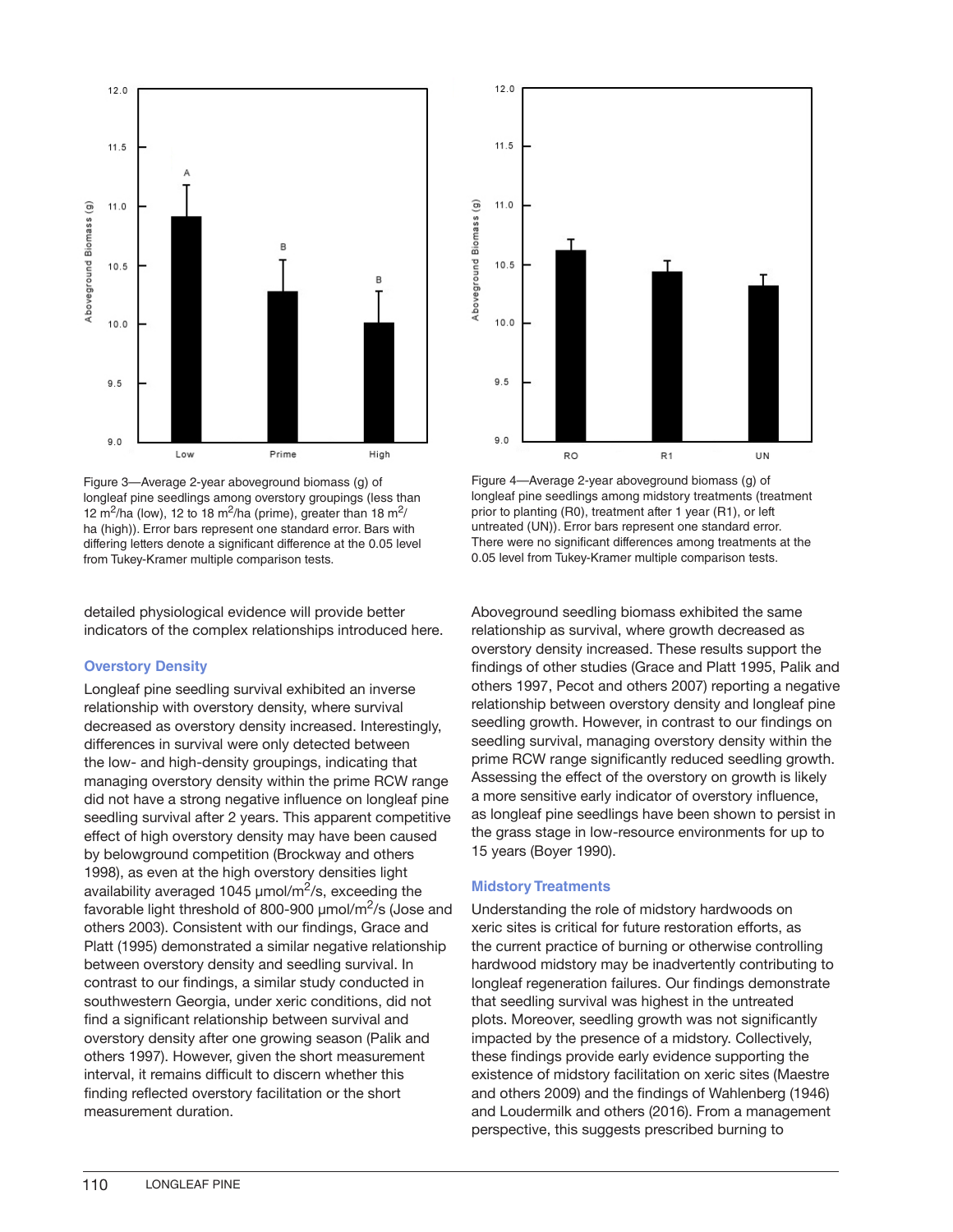

Figure 3—Average 2-year aboveground biomass (g) of longleaf pine seedlings among overstory groupings (less than 12 m<sup>2</sup>/ha (low), 12 to 18 m<sup>2</sup>/ha (prime), greater than 18 m<sup>2</sup>/ ha (high)). Error bars represent one standard error. Bars with differing letters denote a significant difference at the 0.05 level from Tukey-Kramer multiple comparison tests.

detailed physiological evidence will provide better indicators of the complex relationships introduced here.

## **Overstory Density**

Longleaf pine seedling survival exhibited an inverse relationship with overstory density, where survival decreased as overstory density increased. Interestingly, differences in survival were only detected between the low- and high-density groupings, indicating that managing overstory density within the prime RCW range did not have a strong negative influence on longleaf pine seedling survival after 2 years. This apparent competitive effect of high overstory density may have been caused by belowground competition (Brockway and others 1998), as even at the high overstory densities light availability averaged 1045  $\mu$ mol/m<sup>2</sup>/s, exceeding the favorable light threshold of 800-900  $\mu$ mol/m<sup>2</sup>/s (Jose and others 2003). Consistent with our findings, Grace and Platt (1995) demonstrated a similar negative relationship between overstory density and seedling survival. In contrast to our findings, a similar study conducted in southwestern Georgia, under xeric conditions, did not find a significant relationship between survival and overstory density after one growing season (Palik and others 1997). However, given the short measurement interval, it remains difficult to discern whether this finding reflected overstory facilitation or the short measurement duration.



Figure 4—Average 2-year aboveground biomass (g) of longleaf pine seedlings among midstory treatments (treatment prior to planting (R0), treatment after 1 year (R1), or left untreated (UN)). Error bars represent one standard error. There were no significant differences among treatments at the 0.05 level from Tukey-Kramer multiple comparison tests.

Aboveground seedling biomass exhibited the same relationship as survival, where growth decreased as overstory density increased. These results support the findings of other studies (Grace and Platt 1995, Palik and others 1997, Pecot and others 2007) reporting a negative relationship between overstory density and longleaf pine seedling growth. However, in contrast to our findings on seedling survival, managing overstory density within the prime RCW range significantly reduced seedling growth. Assessing the effect of the overstory on growth is likely a more sensitive early indicator of overstory influence, as longleaf pine seedlings have been shown to persist in the grass stage in low-resource environments for up to 15 years (Boyer 1990).

## **Midstory Treatments**

Understanding the role of midstory hardwoods on xeric sites is critical for future restoration efforts, as the current practice of burning or otherwise controlling hardwood midstory may be inadvertently contributing to longleaf regeneration failures. Our findings demonstrate that seedling survival was highest in the untreated plots. Moreover, seedling growth was not significantly impacted by the presence of a midstory. Collectively, these findings provide early evidence supporting the existence of midstory facilitation on xeric sites (Maestre and others 2009) and the findings of Wahlenberg (1946) and Loudermilk and others (2016). From a management perspective, this suggests prescribed burning to